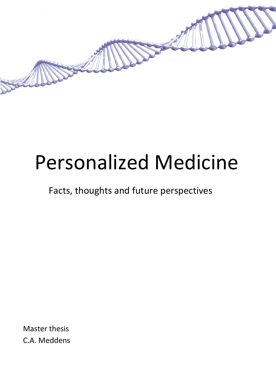

# Personalized Medicine

Facts, thoughts and future perspectives

Master thesis C.A. Meddens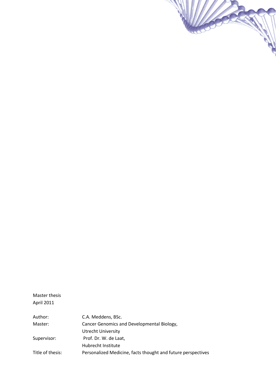

| Author:          | C.A. Meddens, BSc.                                           |  |  |
|------------------|--------------------------------------------------------------|--|--|
| Master:          | Cancer Genomics and Developmental Biology,                   |  |  |
|                  | Utrecht University                                           |  |  |
| Supervisor:      | Prof. Dr. W. de Laat,                                        |  |  |
|                  | Hubrecht Institute                                           |  |  |
| Title of thesis: | Personalized Medicine, facts thought and future perspectives |  |  |

**College Report**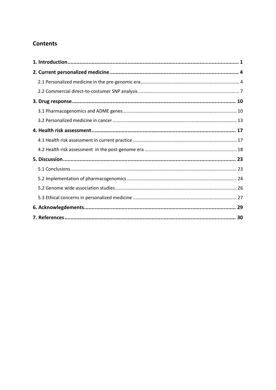# **Contents**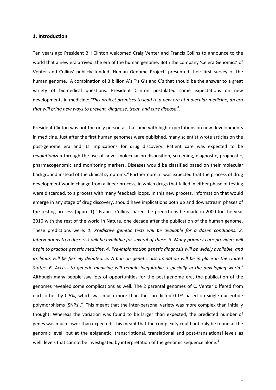# <span id="page-3-0"></span>**1. Introduction**

Ten years ago President Bill Clinton welcomed Craig Venter and Francis Collins to announce to the world that a new era arrived; the era of the human genome. Both the company 'Celera Genomics' of Venter and Collins' publicly funded 'Human Genome Project' presented their first survey of the human genome. A combination of 3 billion A's T's G's and C's that should be the answer to a great variety of biomedical questions. President Clinton postulated some expectations on new developments in medicine: '*This project promises to lead to a new era of molecular medicine, an era that will bring new ways to prevent, diagnose, treat, and cure disease'<sup>1</sup>* .

President Clinton was not the only person at that time with high expectations on new developments in medicine. Just after the first human genomes were published, many scientist wrote articles on the post-genome era and its implications for drug discovery. Patient care was expected to be *revolutionized* through the use of novel molecular predisposition, screening, diagnostic, prognostic, pharmacogenomic and monitoring markers. Diseases would be classified based on their molecular background instead of the clinical symptoms.<sup>2</sup> Furthermore, it was expected that the process of drug development would change from a linear process, in which drugs that failed in either phase of testing were discarded, to a process with many feedback loops. In this new process, information that would emerge in any stage of drug discovery, should have implications both up and downstream phases of the testing process (figure 1).<sup>2</sup> Francis Collins shared the predictions he made in 2000 for the year 2010 with the rest of the world in Nature, one decade after the publication of the human genome. These predictions were: *1. Predictive genetic tests will be available for a dozen conditions. 2. Interventions to reduce risk will be available for several of these. 3. Many primary-care providers will begin to practice genetic medicine. 4. Pre-implantation genetic diagnosis will be widely available, and its limits will be fiercely debated. 5. A ban on genetic discrimination will be in place in the United States. 6. Access to genetic medicine will remain inequitable, especially in the developing world.<sup>3</sup>* Although many people saw lots of opportunities for the post-genome era, the publication of the genomes revealed some complications as well. The 2 parental genomes of C. Venter differed from each other by 0,5%, which was much more than the predicted 0.1% based on single nucleotide polymorphisms (SNPs).<sup>4</sup> This meant that the inter-personal variety was more complex than initially thought. Whereas the variation was found to be larger than expected, the predicted number of genes was much lower than expected. This meant that the complexity could not only be found at the genomic level, but at the epigenetic, transcriptional, translational and post-translational levels as well; levels that cannot be investigated by interpretation of the genomic sequence alone.<sup>5</sup>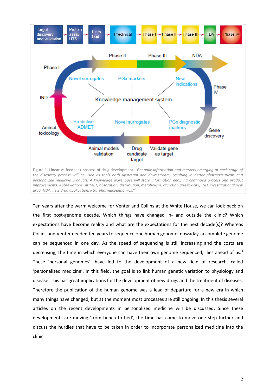

Ten years after the warm welcome for Venter and Collins at the White House, we can look back on the first post-genome decade. Which things have changed in- and outside the clinic? Which expectations have become reality and what are the expectations for the next decade(s)? Whereas Collins and Venter needed ten years to sequence one human genome, nowadays a complete genome can be sequenced in one day. As the speed of sequencing is still increasing and the costs are decreasing, the time in which everyone can have their own genome sequenced, lies ahead of us.<sup>6</sup> These 'personal genomes', have led to the development of a new field of research, called 'personalized medicine'. In this field, the goal is to link human genetic variation to physiology and disease. This has great implications for the development of new drugs and the treatment of diseases. Therefore the publication of the human genome was a lead of departure for a new era in which many things have changed, but at the moment most processes are still ongoing. In this thesis several articles on the recent developments in personalized medicine will be discussed. Since these developments are moving 'from bench to bed', the time has come to move one step further and discuss the hurdles that have to be taken in order to incorporate personalized medicine into the clinic.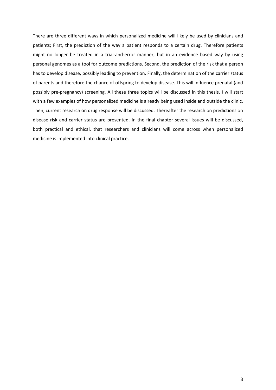There are three different ways in which personalized medicine will likely be used by clinicians and patients; First, the prediction of the way a patient responds to a certain drug. Therefore patients might no longer be treated in a trial-and-error manner, but in an evidence based way by using personal genomes as a tool for outcome predictions. Second, the prediction of the risk that a person has to develop disease, possibly leading to prevention. Finally, the determination of the carrier status of parents and therefore the chance of offspring to develop disease. This will influence prenatal (and possibly pre-pregnancy) screening. All these three topics will be discussed in this thesis. I will start with a few examples of how personalized medicine is already being used inside and outside the clinic. Then, current research on drug response will be discussed. Thereafter the research on predictions on disease risk and carrier status are presented. In the final chapter several issues will be discussed, both practical and ethical, that researchers and clinicians will come across when personalized medicine is implemented into clinical practice.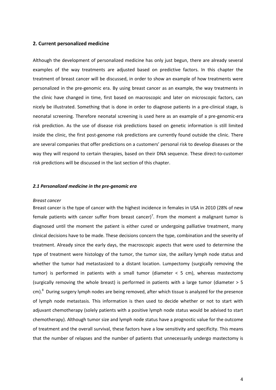# <span id="page-6-0"></span>**2. Current personalized medicine**

Although the development of personalized medicine has only just begun, there are already several examples of the way treatments are adjusted based on predictive factors. In this chapter the treatment of breast cancer will be discussed, in order to show an example of how treatments were personalized in the pre-genomic era. By using breast cancer as an example, the way treatments in the clinic have changed in time, first based on macroscopic and later on microscopic factors, can nicely be illustrated. Something that is done in order to diagnose patients in a pre-clinical stage, is neonatal screening. Therefore neonatal screening is used here as an example of a pre-genomic-era risk prediction. As the use of disease risk predictions based on genetic information is still limited inside the clinic, the first post-genome risk predictions are currently found outside the clinic. There are several companies that offer predictions on a customers' personal risk to develop diseases or the way they will respond to certain therapies, based on their DNA sequence. These direct-to-customer risk predictions will be discussed in the last section of this chapter.

## <span id="page-6-1"></span>*2.1 Personalized medicine in the pre-genomic era*

#### *Breast cancer*

Breast cancer is the type of cancer with the highest incidence in females in USA in 2010 (28% of new female patients with cancer suffer from breast cancer)<sup>7</sup>. From the moment a malignant tumor is diagnosed until the moment the patient is either cured or undergoing palliative treatment, many clinical decisions have to be made. These decisions concern the type, combination and the severity of treatment. Already since the early days, the macroscopic aspects that were used to determine the type of treatment were histology of the tumor, the tumor size, the axillary lymph node status and whether the tumor had metastasized to a distant location. Lumpectomy (surgically removing the tumor) is performed in patients with a small tumor (diameter  $<$  5 cm), whereas mastectomy (surgically removing the whole breast) is performed in patients with a large tumor (diameter > 5 cm).<sup>8</sup> During surgery lymph nodes are being removed, after which tissue is analyzed for the presence of lymph node metastasis. This information is then used to decide whether or not to start with adjuvant chemotherapy (solely patients with a positive lymph node status would be advised to start chemotherapy). Although tumor size and lymph node status have a prognostic value for the outcome of treatment and the overall survival, these factors have a low sensitivity and specificity. This means that the number of relapses and the number of patients that unnecessarily undergo mastectomy is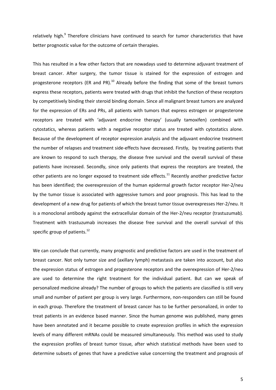relatively high.<sup>9</sup> Therefore clinicians have continued to search for tumor characteristics that have better prognostic value for the outcome of certain therapies.

This has resulted in a few other factors that are nowadays used to determine adjuvant treatment of breast cancer. After surgery, the tumor tissue is stained for the expression of estrogen and progesterone receptors (ER and PR). $^{10}$  Already before the finding that some of the breast tumors express these receptors, patients were treated with drugs that inhibit the function of these receptors by competitively binding their steroid binding domain. Since all malignant breast tumors are analyzed for the expression of ERs and PRs, all patients with tumors that express estrogen or progesterone receptors are treated with 'adjuvant endocrine therapy' (usually tamoxifen) combined with cytostatics, whereas patients with a negative receptor status are treated with cytostatics alone. Because of the development of receptor expression analysis and the adjuvant endocrine treatment the number of relapses and treatment side-effects have decreased. Firstly, by treating patients that are known to respond to such therapy, the disease free survival and the overall survival of these patients have increased. Secondly, since only patients that express the receptors are treated, the other patients are no longer exposed to treatment side effects.<sup>11</sup> Recently another predictive factor has been identified; the overexpression of the human epidermal growth factor receptor Her-2/neu by the tumor tissue is associated with aggressive tumors and poor prognosis. This has lead to the development of a new drug for patients of which the breast tumor tissue overexpresses Her-2/neu. It is a monoclonal antibody against the extracellular domain of the Her-2/neu receptor (trastuzumab). Treatment with trastuzumab increases the disease free survival and the overall survival of this specific group of patients.<sup>12</sup>

We can conclude that currently, many prognostic and predictive factors are used in the treatment of breast cancer. Not only tumor size and (axillary lymph) metastasis are taken into account, but also the expression status of estrogen and progesterone receptors and the overexpression of Her-2/neu are used to determine the right treatment for the individual patient. But can we speak of personalized medicine already? The number of groups to which the patients are classified is still very small and number of patient per group is very large. Furthermore, non-responders can still be found in each group. Therefore the treatment of breast cancer has to be further personalized, in order to treat patients in an evidence based manner. Since the human genome was published, many genes have been annotated and it became possible to create expression profiles in which the expression levels of many different mRNAs could be measured simultaneously. This method was used to study the expression profiles of breast tumor tissue, after which statistical methods have been used to determine subsets of genes that have a predictive value concerning the treatment and prognosis of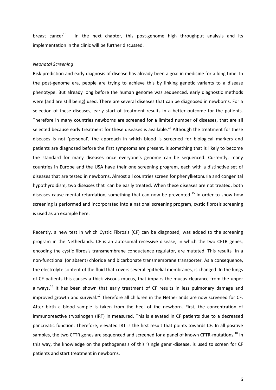breast cancer<sup>13</sup>. In the next chapter, this post-genome high throughput analysis and its implementation in the clinic will be further discussed.

# *Neonatal Screening*

Risk prediction and early diagnosis of disease has already been a goal in medicine for a long time. In the post-genome era, people are trying to achieve this by linking genetic variants to a disease phenotype. But already long before the human genome was sequenced, early diagnostic methods were (and are still being) used. There are several diseases that can be diagnosed in newborns. For a selection of these diseases, early start of treatment results in a better outcome for the patients. Therefore in many countries newborns are screened for a limited number of diseases, that are all selected because early treatment for these diseases is available.<sup>14</sup> Although the treatment for these diseases is not 'personal', the approach in which blood is screened for biological markers and patients are diagnosed before the first symptoms are present, is something that is likely to become the standard for many diseases once everyone's genome can be sequenced. Currently, many countries in Europe and the USA have their one screening program, each with a distinctive set of diseases that are tested in newborns. Almost all countries screen for phenylketonuria and congenital hypothyroidism, two diseases that can be easily treated. When these diseases are not treated, both diseases cause mental retardation, something that can now be prevented.<sup>15</sup> In order to show how screening is performed and incorporated into a national screening program, cystic fibrosis screening is used as an example here.

Recently, a new test in which Cystic Fibrosis (CF) can be diagnosed, was added to the screening program in the Netherlands. CF is an autosomal recessive disease, in which the two CFTR genes, encoding the cystic fibrosis transmembrane conductance regulator, are mutated. This results in a non-functional (or absent) chloride and bicarbonate transmembrane transporter. As a consequence, the electrolyte content of the fluid that covers several epithelial membranes, is changed. In the lungs of CF patients this causes a thick viscous mucus, that impairs the mucus clearance from the upper airways.<sup>16</sup> It has been shown that early treatment of CF results in less pulmonary damage and improved growth and survival.<sup>17</sup> Therefore all children in the Netherlands are now screened for CF. After birth a blood sample is taken from the heel of the newborn. First, the concentration of immunoreactive trypsinogen (IRT) in measured. This is elevated in CF patients due to a decreased pancreatic function. Therefore, elevated IRT is the first result that points towards CF. In all positive samples, the two CFTR genes are sequenced and screened for a panel of known CFTR-mutations.<sup>18</sup> In this way, the knowledge on the pathogenesis of this 'single gene'-disease, is used to screen for CF patients and start treatment in newborns.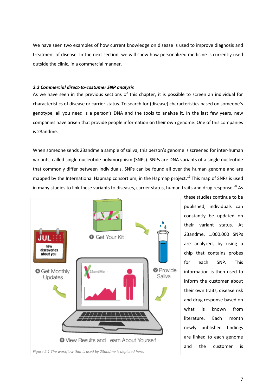We have seen two examples of how current knowledge on disease is used to improve diagnosis and treatment of disease. In the next section, we will show how personalized medicine is currently used outside the clinic, in a commercial manner.

# <span id="page-9-0"></span>*2.2 Commercial direct-to-costumer SNP analysis*

As we have seen in the previous sections of this chapter, it is possible to screen an individual for characteristics of disease or carrier status. To search for (disease) characteristics based on someone's genotype, all you need is a person's DNA and the tools to analyze it. In the last few years, new companies have arisen that provide people information on their own genome. One of this companies is 23andme.

When someone sends 23andme a sample of saliva, this person's genome is screened for inter-human variants, called single nucleotide polymorphism (SNPs). SNPs are DNA variants of a single nucleotide that commonly differ between individuals. SNPs can be found all over the human genome and are mapped by the International Hapmap consortium, in the Hapmap project.<sup>19</sup> This map of SNPs is used in many studies to link these variants to diseases, carrier status, human traits and drug response.<sup>20</sup> As



these studies continue to be published, individuals can constantly be updated on their variant status. At 23andme, 1.000.000 SNPs are analyzed, by using a chip that contains probes for each SNP. This information is then used to inform the customer about their own traits, disease risk and drug response based on what is known from literature. Each month newly published findings are linked to each genome and the customer is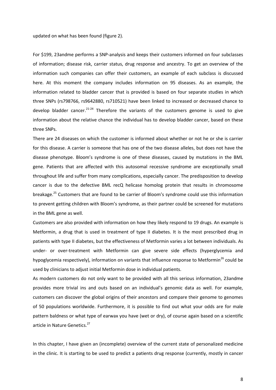updated on what has been found (figure 2).

For \$199, 23andme performs a SNP-analysis and keeps their customers informed on four subclasses of information; disease risk, carrier status, drug response and ancestry. To get an overview of the information such companies can offer their customers, an example of each subclass is discussed here. At this moment the company includes information on 95 diseases. As an example, the information related to bladder cancer that is provided is based on four separate studies in which three SNPs [\(rs798766,](https://www.23andme.com/you/explorer/snp/?snp_name=rs798766) [rs9642880,](https://www.23andme.com/you/explorer/snp/?snp_name=rs9642880) [rs710521\)](https://www.23andme.com/you/explorer/snp/?snp_name=rs710521) have been linked to increased or decreased chance to develop bladder cancer.<sup>21-24</sup> Therefore the variants of the customers genome is used to give information about the relative chance the individual has to develop bladder cancer, based on these three SNPs.

There are 24 diseases on which the customer is informed about whether or not he or she is carrier for this disease. A carrier is someone that has one of the two disease alleles, but does not have the disease phenotype. Bloom's syndrome is one of these diseases, caused by mutations in the BML gene. Patients that are affected with this autosomal recessive syndrome are exceptionally small throughout life and suffer from many complications, especially cancer. The predisposition to develop cancer is due to the defective BML recQ helicase homolog protein that results in chromosome breakage.<sup>25</sup> Customers that are found to be carrier of Bloom's syndrome could use this information to prevent getting children with Bloom's syndrome, as their partner could be screened for mutations in the BML gene as well.

Customers are also provided with information on how they likely respond to 19 drugs. An example is Metformin, a drug that is used in treatment of type II diabetes. It is the most prescribed drug in patients with type II diabetes, but the effectiveness of Metformin varies a lot between individuals. As under- or over-treatment with Metformin can give severe side effects (hyperglycemia and hypoglycemia respectively), information on variants that influence response to Metformin<sup>26</sup> could be used by clinicians to adjust initial Metformin dose in individual patients.

As modern customers do not only want to be provided with all this serious information, 23andme provides more trivial ins and outs based on an individual's genomic data as well. For example, customers can discover the global origins of their ancestors and compare their genome to genomes of 50 populations worldwide. Furthermore, it is possible to find out what your odds are for male pattern baldness or what type of earwax you have (wet or dry), of course again based on a scientific article in Nature Genetics.<sup>27</sup>

In this chapter, I have given an (incomplete) overview of the current state of personalized medicine in the clinic. It is starting to be used to predict a patients drug response (currently, mostly in cancer

8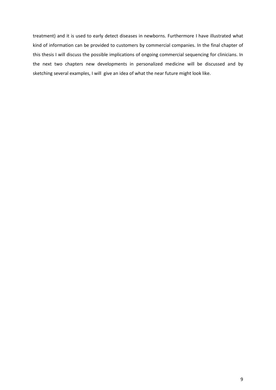treatment) and it is used to early detect diseases in newborns. Furthermore I have illustrated what kind of information can be provided to customers by commercial companies. In the final chapter of this thesis I will discuss the possible implications of ongoing commercial sequencing for clinicians. In the next two chapters new developments in personalized medicine will be discussed and by sketching several examples, I will give an idea of what the near future might look like.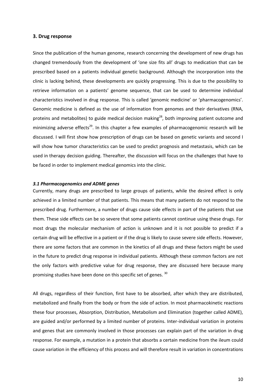#### <span id="page-12-0"></span>**3. Drug response**

Since the publication of the human genome, research concerning the development of new drugs has changed tremendously from the development of 'one size fits all' drugs to medication that can be prescribed based on a patients individual genetic background. Although the incorporation into the clinic is lacking behind, these developments are quickly progressing. This is due to the possibility to retrieve information on a patients' genome sequence, that can be used to determine individual characteristics involved in drug response. This is called 'genomic medicine' or 'pharmacogenomics'. Genomic medicine is defined as the use of information from genomes and their derivatives (RNA, proteins and metabolites) to guide medical decision making<sup>28</sup>, both improving patient outcome and minimizing adverse effects<sup>29</sup>. In this chapter a few examples of pharmacogenomic research will be discussed. I will first show how prescription of drugs can be based on genetic variants and second I will show how tumor characteristics can be used to predict prognosis and metastasis, which can be used in therapy decision guiding. Thereafter, the discussion will focus on the challenges that have to be faced in order to implement medical genomics into the clinic.

#### <span id="page-12-1"></span>*3.1 Pharmacogenomics and ADME genes*

Currently, many drugs are prescribed to large groups of patients, while the desired effect is only achieved in a limited number of that patients. This means that many patients do not respond to the prescribed drug. Furthermore, a number of drugs cause side effects in part of the patients that use them. These side effects can be so severe that some patients cannot continue using these drugs. For most drugs the molecular mechanism of action is unknown and it is not possible to predict if a certain drug will be effective in a patient or if the drug is likely to cause severe side effects. However, there are some factors that are common in the kinetics of all drugs and these factors might be used in the future to predict drug response in individual patients. Although these common factors are not the only factors with predictive value for drug response, they are discussed here because many promising studies have been done on this specific set of genes. 30

All drugs, regardless of their function, first have to be absorbed, after which they are distributed, metabolized and finally from the body or from the side of action. In most pharmacokinetic reactions these four processes, Absorption, Distribution, Metabolism and Elimination (together called ADME), are guided and/or performed by a limited number of proteins. Inter-individual variation in proteins and genes that are commonly involved in those processes can explain part of the variation in drug response. For example, a mutation in a protein that absorbs a certain medicine from the ileum could cause variation in the efficiency of this process and will therefore result in variation in concentrations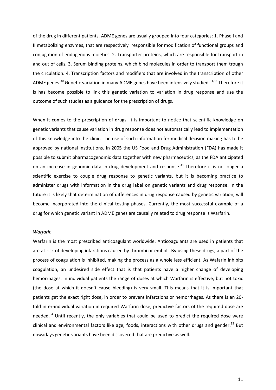of the drug in different patients. ADME genes are usually grouped into four categories; 1. Phase I and II metabolizing enzymes, that are respectively responsible for modification of functional groups and conjugation of endogenous moieties. 2. Transporter proteins, which are responsible for transport in and out of cells. 3. Serum binding proteins, which bind molecules in order to transport them trough the circulation. 4. Transcription factors and modifiers that are involved in the transcription of other ADME genes.<sup>30</sup> Genetic variation in many ADME genes have been intensively studied.<sup>31,32</sup> Therefore it is has become possible to link this genetic variation to variation in drug response and use the outcome of such studies as a guidance for the prescription of drugs.

When it comes to the prescription of drugs, it is important to notice that scientific knowledge on genetic variants that cause variation in drug response does not automatically lead to implementation of this knowledge into the clinic. The use of such information for medical decision making has to be approved by national institutions. In 2005 the US Food and Drug Administration (FDA) has made it possible to submit pharmacogenomic data together with new pharmaceutics, as the FDA anticipated on an increase in genomic data in drug development and response.<sup>33</sup> Therefore it is no longer a scientific exercise to couple drug response to genetic variants, but it is becoming practice to administer drugs with information in the drug label on genetic variants and drug response. In the future it is likely that determination of differences in drug response caused by genetic variation, will become incorporated into the clinical testing phases. Currently, the most successful example of a drug for which genetic variant in ADME genes are causally related to drug response is Warfarin.

# *Warfarin*

Warfarin is the most prescribed anticoagulant worldwide. Anticoagulants are used in patients that are at risk of developing infarctions caused by thrombi or emboli. By using these drugs, a part of the process of coagulation is inhibited, making the process as a whole less efficient. As Wafarin inhibits coagulation, an undesired side effect that is that patients have a higher change of developing hemorrhages. In individual patients the range of doses at which Warfarin is effective, but not toxic (the dose at which it doesn't cause bleeding) is very small. This means that it is important that patients get the exact right dose, in order to prevent infarctions or hemorrhages. As there is an 20 fold inter-individual variation in required Warfarin dose, predictive factors of the required dose are needed.<sup>34</sup> Until recently, the only variables that could be used to predict the required dose were clinical and environmental factors like age, foods, interactions with other drugs and gender.<sup>35</sup> But nowadays genetic variants have been discovered that are predictive as well.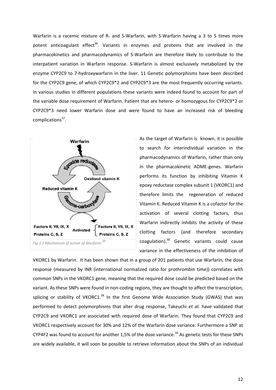Warfarin is a racemic mixture of R- and S-Warfarin, with S-Warfarin having a 3 to 5 times more potent anticoagulant effect<sup>36</sup>. Variants in enzymes and proteins that are involved in the pharmacokinetics and pharmacodynamics of S-Warfarin are therefore likely to contribute to the interpatient variation in Warfarin response. S-Warfarin is almost exclusively metabolized by the enzyme CYP2C9 to 7-hydroxywarfarin in the liver. 11 Genetic polymorphisms have been described for the CYP2C9 gene, of which CYP2C9\*2 and CYP2C9\*3 are the most frequently occurring variants. In various studies in different populations these variants were indeed found to account for part of the variable dose requirement of Warfarin. Patient that are hetero- or homozygous for CYP2C9\*2 or CYP2C9\*3 need lower Warfarin dose and were found to have an increased risk of bleeding complications<sup>37</sup>.



As the target of Warfarin is known, it is possible to search for interindividual variation in the pharmacodynamics of Warfarin, rather than only in the pharmacokinetic ADME-genes. Warfarin performs its function by inhibiting Vitamin K epoxy reductase complex subunit 1 (VKORC1) and therefore limits the regeneration of reduced Vitamin K. Reduced Vitamin K is a cofactor for the activation of several clotting factors, thus Warfarin indirectly inhibits the activity of these clotting factors (and therefore secondary coagulation).<sup>38</sup> Genetic variants could cause variance in the effectiveness of the inhibition of

VKORC1 by Warfarin. It has been shown that in a group of 201 patients that use Warfarin, the dose response (measured by INR (international normalized ratio for prothrombin time)) correlates with common SNPs in the VKORC1 gene, meaning that the required dose could be predicted based on the variant. As these SNPs were found in non-coding regions, they are thought to affect the transcription, splicing or stability of VKORC1. $38$  In the first Genome Wide Association Study (GWAS) that was performed to detect polymorphisms that alter drug response, Takeuchi *et al.* have validated that CYP2C9 and VKORC1 are associated with required dose of Warfarin. They found that CYP2C9 and VKORC1 respectively account for 30% and 12% of the Warfarin dose variance. Furthermore a SNP at CYP4F2 was found to account for another 1,5% of the dose variance.<sup>34</sup> As genetic tests for these SNPs are widely available, it will soon be possible to retrieve information about the SNPs of an individual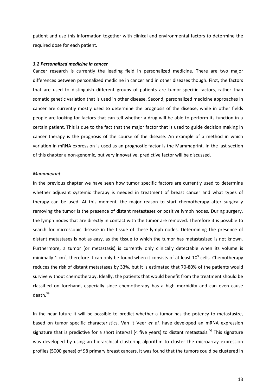patient and use this information together with clinical and environmental factors to determine the required dose for each patient.

#### <span id="page-15-0"></span>*3.2 Personalized medicine in cancer*

Cancer research is currently the leading field in personalized medicine. There are two major differences between personalized medicine in cancer and in other diseases though. First, the factors that are used to distinguish different groups of patients are tumor-specific factors, rather than somatic genetic variation that is used in other disease. Second, personalized medicine approaches in cancer are currently mostly used to determine the prognosis of the disease, while in other fields people are looking for factors that can tell whether a drug will be able to perform its function in a certain patient. This is due to the fact that the major factor that is used to guide decision making in cancer therapy is the prognosis of the course of the disease. An example of a method in which variation in mRNA expression is used as an prognostic factor is the Mammaprint. In the last section of this chapter a non-genomic, but very innovative, predictive factor will be discussed.

#### *Mammaprint*

In the previous chapter we have seen how tumor specific factors are currently used to determine whether adjuvant systemic therapy is needed in treatment of breast cancer and what types of therapy can be used. At this moment, the major reason to start chemotherapy after surgically removing the tumor is the presence of distant metastases or positive lymph nodes. During surgery, the lymph nodes that are directly in contact with the tumor are removed. Therefore it is possible to search for microscopic disease in the tissue of these lymph nodes. Determining the presence of distant metastases is not as easy, as the tissue to which the tumor has metastasized is not known. Furthermore, a tumor (or metastasis) is currently only clinically detectable when its volume is minimally 1 cm<sup>3</sup>, therefore it can only be found when it consists of at least 10<sup>9</sup> cells. Chemotherapy reduces the risk of distant metastases by 33%, but it is estimated that 70-80% of the patients would survive without chemotherapy. Ideally, the patients that would benefit from the treatment should be classified on forehand, especially since chemotherapy has a high morbidity and can even cause death. $^{39}$ 

In the near future it will be possible to predict whether a tumor has the potency to metastasize, based on tumor specific characteristics. Van 't Veer *et al.* have developed an mRNA expression signature that is predictive for a short interval  $($ < five years) to distant metastasis.<sup>40</sup> This signature was developed by using an hierarchical clustering algorithm to cluster the microarray expression profiles (5000 genes) of 98 primary breast cancers. It was found that the tumors could be clustered in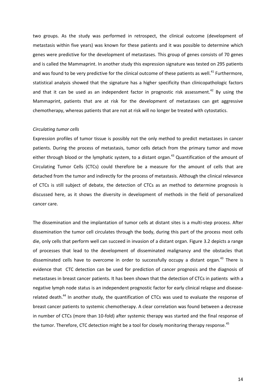two groups. As the study was performed in retrospect, the clinical outcome (development of metastasis within five years) was known for these patients and it was possible to determine which genes were predictive for the development of metastases. This group of genes consists of 70 genes and is called the Mammaprint. In another study this expression signature was tested on 295 patients and was found to be very predictive for the clinical outcome of these patients as well.<sup>41</sup> Furthermore, statistical analysis showed that the signature has a higher specificity than clinicopathologic factors and that it can be used as an independent factor in prognostic risk assessment.<sup>42</sup> By using the Mammaprint, patients that are at risk for the development of metastases can get aggressive chemotherapy, whereas patients that are not at risk will no longer be treated with cytostatics.

# *Circulating tumor cells*

Expression profiles of tumor tissue is possibly not the only method to predict metastases in cancer patients. During the process of metastasis, tumor cells detach from the primary tumor and move either through blood or the lymphatic system, to a distant organ.<sup>43</sup> Quantification of the amount of Circulating Tumor Cells (CTCs) could therefore be a measure for the amount of cells that are detached from the tumor and indirectly for the process of metastasis. Although the clinical relevance of CTCs is still subject of debate, the detection of CTCs as an method to determine prognosis is discussed here, as it shows the diversity in development of methods in the field of personalized cancer care.

The dissemination and the implantation of tumor cells at distant sites is a multi-step process. After dissemination the tumor cell circulates through the body, during this part of the process most cells die, only cells that perform well can succeed in invasion of a distant organ. Figure 3.2 depicts a range of processes that lead to the development of disseminated malignancy and the obstacles that disseminated cells have to overcome in order to successfully occupy a distant organ.<sup>43</sup> There is evidence that CTC detection can be used for prediction of cancer prognosis and the diagnosis of metastases in breast cancer patients. It has been shown that the detection of CTCs in patients with a negative lymph node status is an independent prognostic factor for early clinical relapse and diseaserelated death.<sup>44</sup> In another study, the quantification of CTCs was used to evaluate the response of breast cancer patients to systemic chemotherapy. A clear correlation was found between a decrease in number of CTCs (more than 10-fold) after systemic therapy was started and the final response of the tumor. Therefore, CTC detection might be a tool for closely monitoring therapy response.<sup>45</sup>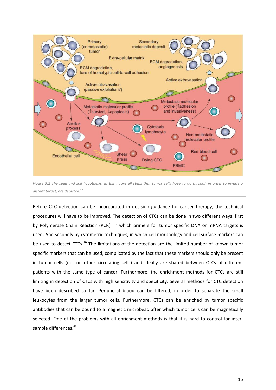

*distant target, are depicted.<sup>46</sup>*

Before CTC detection can be incorporated in decision guidance for cancer therapy, the technical procedures will have to be improved. The detection of CTCs can be done in two different ways, first by Polymerase Chain Reaction (PCR), in which primers for tumor specific DNA or mRNA targets is used. And secondly by cytometric techniques, in which cell morphology and cell surface markers can be used to detect CTCs.<sup>46</sup> The limitations of the detection are the limited number of known tumor specific markers that can be used, complicated by the fact that these markers should only be present in tumor cells (not on other circulating cells) and ideally are shared between CTCs of different patients with the same type of cancer. Furthermore, the enrichment methods for CTCs are still limiting in detection of CTCs with high sensitivity and specificity. Several methods for CTC detection have been described so far. Peripheral blood can be filtered, in order to separate the small leukocytes from the larger tumor cells. Furthermore, CTCs can be enriched by tumor specific antibodies that can be bound to a magnetic microbead after which tumor cells can be magnetically selected. One of the problems with all enrichment methods is that it is hard to control for intersample differences.<sup>46</sup>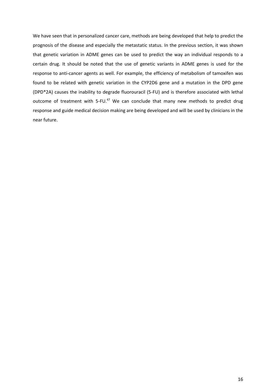We have seen that in personalized cancer care, methods are being developed that help to predict the prognosis of the disease and especially the metastatic status. In the previous section, it was shown that genetic variation in ADME genes can be used to predict the way an individual responds to a certain drug. It should be noted that the use of genetic variants in ADME genes is used for the response to anti-cancer agents as well. For example, the efficiency of metabolism of tamoxifen was found to be related with genetic variation in the CYP2D6 gene and a mutation in the DPD gene (DPD\*2A) causes the inability to degrade fluorouracil (5-FU) and is therefore associated with lethal outcome of treatment with 5-FU.<sup>47</sup> We can conclude that many new methods to predict drug response and guide medical decision making are being developed and will be used by clinicians in the near future.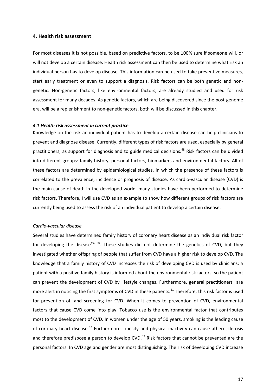# <span id="page-19-0"></span>**4. Health risk assessment**

For most diseases it is not possible, based on predictive factors, to be 100% sure if someone will, or will not develop a certain disease. Health risk assessment can then be used to determine what risk an individual person has to develop disease. This information can be used to take preventive measures, start early treatment or even to support a diagnosis. Risk factors can be both genetic and nongenetic. Non-genetic factors, like environmental factors, are already studied and used for risk assessment for many decades. As genetic factors, which are being discovered since the post-genome era, will be a replenishment to non-genetic factors, both will be discussed in this chapter.

#### <span id="page-19-1"></span>*4.1 Health risk assessment in current practice*

Knowledge on the risk an individual patient has to develop a certain disease can help clinicians to prevent and diagnose disease. Currently, different types of risk factors are used, especially by general practitioners, as support for diagnosis and to guide medical decisions.<sup>48</sup> Risk factors can be divided into different groups: family history, personal factors, biomarkers and environmental factors. All of these factors are determined by epidemiological studies, in which the presence of these factors is correlated to the prevalence, incidence or prognosis of disease. As cardio-vascular disease (CVD) is the main cause of death in the developed world, many studies have been performed to determine risk factors. Therefore, I will use CVD as an example to show how different groups of risk factors are currently being used to assess the risk of an individual patient to develop a certain disease.

# *Cardio-vascular disease*

Several studies have determined family history of coronary heart disease as an individual risk factor for developing the disease<sup>49, 50</sup>. These studies did not determine the genetics of CVD, but they investigated whether offspring of people that suffer from CVD have a higher risk to develop CVD. The knowledge that a family history of CVD increases the risk of developing CVD is used by clinicians; a patient with a positive family history is informed about the environmental risk factors, so the patient can prevent the development of CVD by lifestyle changes. Furthermore, general practitioners are more alert in noticing the first symptoms of CVD in these patients.<sup>51</sup> Therefore, this risk factor is used for prevention of, and screening for CVD. When it comes to prevention of CVD, environmental factors that cause CVD come into play. Tobacco use is the environmental factor that contributes most to the development of CVD. In women under the age of 50 years, smoking is the leading cause of coronary heart disease.<sup>52</sup> Furthermore, obesity and physical inactivity can cause atherosclerosis and therefore predispose a person to develop CVD.<sup>53</sup> Risk factors that cannot be prevented are the personal factors. In CVD age and gender are most distinguishing. The risk of developing CVD increase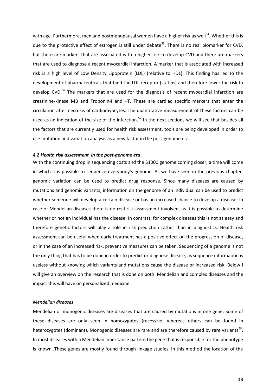with age. Furthermore, men and postmenopausal women have a higher risk as well<sup>54</sup>. Whether this is due to the protective effect of estrogen is still under debate<sup>55</sup>. There is no real biomarker for CVD, but there are markers that are associated with a higher risk to develop CVD and there are markers that are used to diagnose a recent myocardial infarction. A marker that is associated with increased risk is a high level of Low Density Lipoprotein (LDL) (relative to HDL). This finding has led to the development of pharmaceuticals that bind the LDL receptor (statins) and therefore lower the risk to develop CVD.<sup>56</sup> The markers that are used for the diagnosis of recent myocardial infarction are creatinine-kinase MB and Troponin-I and –T. These are cardiac specific markers that enter the circulation after necrosis of cardiomyocytes. The quantitative measurement of these factors can be used as an indication of the size of the infarction.<sup>57</sup> In the next sections we will see that besides all the factors that are currently used for health risk assessment, tools are being developed in order to use mutation and variation analysis as a new factor in the post-genome era.

# <span id="page-20-0"></span>*4.2 Health risk assessment in the post-genome era*

With the continuing drop in sequencing costs and the \$1000 genome coming closer, a time will come in which it is possible to sequence everybody's genome. As we have seen in the previous chapter, genomic variation can be used to predict drug response. Since many diseases are caused by mutations and genomic variants, information on the genome of an individual can be used to predict whether someone will develop a certain disease or has an increased chance to develop a disease. In case of Mendelian diseases there is no real risk assessment involved, as it is possible to determine whether or not an individual has the disease. In contrast, for complex diseases this is not as easy and therefore genetic factors will play a role in risk prediction rather than in diagnostics. Health risk assessment can be useful when early treatment has a positive effect on the progression of disease, or in the case of an increased risk, preventive measures can be taken. Sequencing of a genome is not the only thing that has to be done in order to predict or diagnose disease, as sequence information is useless without knowing which variants and mutations cause the disease or increased risk. Below I will give an overview on the research that is done on both Mendelian and complex diseases and the impact this will have on personalized medicine.

# *Mendelian diseases*

Mendelian or monogenic diseases are diseases that are caused by mutations in one gene. Some of these diseases are only seen in homozygotes (recessive) whereas others can be found in heterozygotes (dominant). Monogenic diseases are rare and are therefore caused by rare variants<sup>58</sup>. In most diseases with a Mendelian inheritance pattern the gene that is responsible for the phenotype is known. These genes are mostly found through linkage studies. In this method the location of the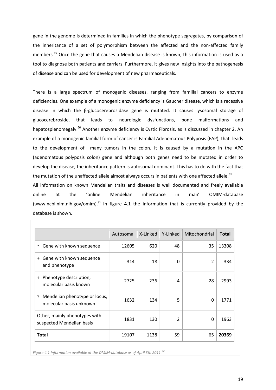gene in the genome is determined in families in which the phenotype segregates, by comparison of the inheritance of a set of polymorphism between the affected and the non-affected family members.<sup>59</sup> Once the gene that causes a Mendelian disease is known, this information is used as a tool to diagnose both patients and carriers. Furthermore, it gives new insights into the pathogenesis of disease and can be used for development of new pharmaceuticals.

There is a large spectrum of monogenic diseases, ranging from familial cancers to enzyme deficiencies. One example of a monogenic enzyme deficiency is Gaucher disease, which is a recessive disease in which the β-glucocerebrosidase gene is mutated. It causes lysosomal storage of glucocerebroside, that leads to neurologic dysfunctions, bone malformations and hepatosplenomegaly.<sup>60</sup> Another enzyme deficiency is Cystic Fibrosis, as is discussed in chapter 2. An example of a monogenic familial form of cancer is Familial Adenomatous Polyposis (FAP), that leads to the development of many tumors in the colon. It is caused by a mutation in the APC (adenomatous polyposis colon) gene and although both genes need to be mutated in order to develop the disease, the inheritance pattern is autosomal dominant. This has to do with the fact that the mutation of the unaffected allele almost always occurs in patients with one affected allele.<sup>61</sup>

All information on known Mendelian traits and diseases is well documented and freely available online at the 'online Mendelian inheritance in man' OMIM-database [\(www.ncbi.nlm.nih.gov/omim\)](http://www.ncbi.nlm.nih.gov/omim). $62$  In figure 4.1 the information that is currently provided by the database is shown.

|                                                                | Autosomal | X-Linked | Y-Linked | Mitochondrial  | <b>Total</b> |
|----------------------------------------------------------------|-----------|----------|----------|----------------|--------------|
| Gene with known sequence<br>$\star$                            | 12605     | 620      | 48       | 35             | 13308        |
| Gene with known sequence<br>$+$<br>and phenotype               | 314       | 18       | $\Omega$ | $\overline{2}$ | 334          |
| Phenotype description,<br>#<br>molecular basis known           | 2725      | 236      | 4        | 28             | 2993         |
| Mendelian phenotype or locus,<br>ိင<br>molecular basis unknown | 1632      | 134      | 5        | $\Omega$       | 1771         |
| Other, mainly phenotypes with<br>suspected Mendelian basis     | 1831      | 130      | 2        | 0              | 1963         |
| <b>Total</b>                                                   | 19107     | 1138     | 59       | 65             | 20369        |

*Figure 4.1 Information available at the OMIM-database as of April 3th 2011.<sup>62</sup>*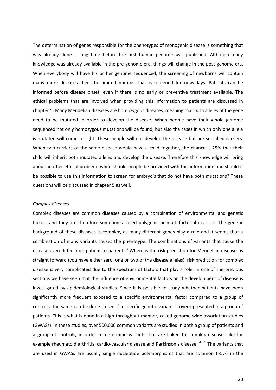The determination of genes responsible for the phenotypes of monogenic disease is something that was already done a long time before the first human genome was published. Although many knowledge was already available in the pre-genome era, things will change in the post-genome era. When everybody will have his or her genome sequenced, the screening of newborns will contain many more diseases then the limited number that is screened for nowadays. Patients can be informed before disease onset, even if there is no early or preventive treatment available. The ethical problems that are involved when providing this information to patients are discussed in chapter 5. Many Mendelian diseases are homozygous diseases, meaning that both alleles of the gene need to be mutated in order to develop the disease. When people have their whole genome sequenced not only homozygous mutations will be found, but also the cases in which only one allele is mutated will come to light. These people will not develop the disease but are so called carriers. When two carriers of the same disease would have a child together, the chance is 25% that their child will inherit both mutated alleles and develop the disease. Therefore this knowledge will bring about another ethical problem: when should people be provided with this information and should it be possible to use this information to screen for embryo's that do not have both mutations? These questions will be discussed in chapter 5 as well.

#### *Complex diseases*

Complex diseases are common diseases caused by a combination of environmental and genetic factors and they are therefore sometimes called polygenic or multi-factorial diseases. The genetic background of these diseases is complex, as many different genes play a role and it seems that a combination of many variants causes the phenotype. The combinations of variants that cause the disease even differ from patient to patient.<sup>63</sup> Whereas the risk prediction for Mendelian diseases is straight forward (you have either zero, one or two of the disease alleles), risk prediction for complex disease is very complicated due to the spectrum of factors that play a role. In one of the previous sections we have seen that the influence of environmental factors on the development of disease is investigated by epidemiological studies. Since it is possible to study whether patients have been significantly more frequent exposed to a specific environmental factor compared to a group of controls, the same can be done to see if a specific genetic variant is overrepresented in a group of patients. This is what is done in a high-throughput manner, called genome-wide association studies (GWASs). In these studies, over 500,000 common variants are studied in both a group of patients and a group of controls, in order to determine variants that are linked to complex diseases like for example rheumatoid arthritis, cardio-vascular disease and Parkinson's disease.<sup>64, 65</sup> The variants that are used in GWASs are usually single nucleotide polymorphisms that are common (>5%) in the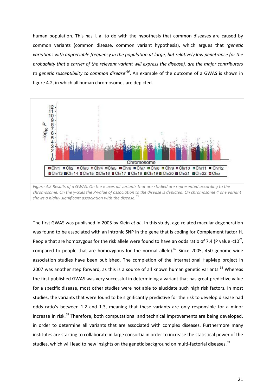human population. This has i. a. to do with the hypothesis that common diseases are caused by common variants (common disease, common variant hypothesis), which argues that *'genetic variations with appreciable frequency in the population at large, but relatively low penetrance (or the probability that a carrier of the relevant variant will express the disease), are the major contributors to genetic susceptibility to common disease'<sup>66</sup>* . An example of the outcome of a GWAS is shown in figure 4.2, in which all human chromosomes are depicted.



The first GWAS was published in 2005 by Klein *et al.*. In this study, age-related macular degeneration was found to be associated with an intronic SNP in the gene that is coding for Complement factor H. People that are homozygous for the risk allele were found to have an odds ratio of 7.4 (P value <10<sup>-7</sup>, compared to people that are homozygous for the normal allele).<sup>67</sup> Since 2005, 450 genome-wide association studies have been published. The completion of the International HapMap project in 2007 was another step forward, as this is a source of all known human genetic variants.<sup>63</sup> Whereas the first published GWAS was very successful in determining a variant that has great predictive value for a specific disease, most other studies were not able to elucidate such high risk factors. In most studies, the variants that were found to be significantly predictive for the risk to develop disease had odds ratio's between 1.2 and 1.3, meaning that these variants are only responsible for a minor increase in risk.<sup>68</sup> Therefore, both computational and technical improvements are being developed, in order to determine all variants that are associated with complex diseases. Furthermore many institutes are starting to collaborate in large consortia in order to increase the statistical power of the studies, which will lead to new insights on the genetic background on multi-factorial diseases.<sup>69</sup>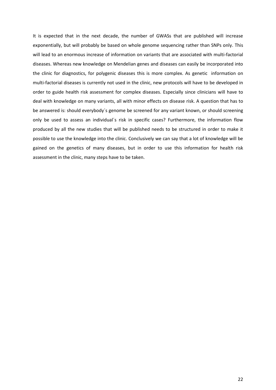It is expected that in the next decade, the number of GWASs that are published will increase exponentially, but will probably be based on whole genome sequencing rather than SNPs only. This will lead to an enormous increase of information on variants that are associated with multi-factorial diseases. Whereas new knowledge on Mendelian genes and diseases can easily be incorporated into the clinic for diagnostics, for polygenic diseases this is more complex. As genetic information on multi-factorial diseases is currently not used in the clinic, new protocols will have to be developed in order to guide health risk assessment for complex diseases. Especially since clinicians will have to deal with knowledge on many variants, all with minor effects on disease risk. A question that has to be answered is: should everybody´s genome be screened for any variant known, or should screening only be used to assess an individual´s risk in specific cases? Furthermore, the information flow produced by all the new studies that will be published needs to be structured in order to make it possible to use the knowledge into the clinic. Conclusively we can say that a lot of knowledge will be gained on the genetics of many diseases, but in order to use this information for health risk assessment in the clinic, many steps have to be taken.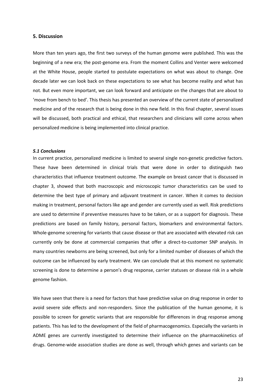### <span id="page-25-0"></span>**5. Discussion**

More than ten years ago, the first two surveys of the human genome were published. This was the beginning of a new era; the post-genome era. From the moment Collins and Venter were welcomed at the White House, people started to postulate expectations on what was about to change. One decade later we can look back on these expectations to see what has become reality and what has not. But even more important, we can look forward and anticipate on the changes that are about to 'move from bench to bed'. This thesis has presented an overview of the current state of personalized medicine and of the research that is being done in this new field. In this final chapter, several issues will be discussed, both practical and ethical, that researchers and clinicians will come across when personalized medicine is being implemented into clinical practice.

#### <span id="page-25-1"></span>*5.1 Conclusions*

In current practice, personalized medicine is limited to several single non-genetic predictive factors. These have been determined in clinical trials that were done in order to distinguish two characteristics that influence treatment outcome. The example on breast cancer that is discussed in chapter 3, showed that both macroscopic and microscopic tumor characteristics can be used to determine the best type of primary and adjuvant treatment in cancer. When it comes to decision making in treatment, personal factors like age and gender are currently used as well. Risk predictions are used to determine if preventive measures have to be taken, or as a support for diagnosis. These predictions are based on family history, personal factors, biomarkers and environmental factors. Whole-genome screening for variants that cause disease or that are associated with elevated risk can currently only be done at commercial companies that offer a direct-to-customer SNP analysis. In many countries newborns are being screened, but only for a limited number of diseases of which the outcome can be influenced by early treatment. We can conclude that at this moment no systematic screening is done to determine a person's drug response, carrier statuses or disease risk in a whole genome fashion.

We have seen that there is a need for factors that have predictive value on drug response in order to avoid severe side effects and non-responders. Since the publication of the human genome, it is possible to screen for genetic variants that are responsible for differences in drug response among patients. This has led to the development of the field of pharmacogenomics. Especially the variants in ADME genes are currently investigated to determine their influence on the pharmacokinetics of drugs. Genome-wide association studies are done as well, through which genes and variants can be

23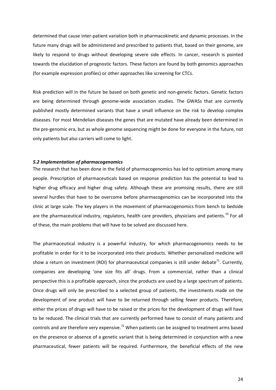determined that cause inter-patient variation both in pharmacokinetic and dynamic processes. In the future many drugs will be administered and prescribed to patients that, based on their genome, are likely to respond to drugs without developing severe side effects. In cancer, research is pointed towards the elucidation of prognostic factors. These factors are found by both genomics approaches (for example expression profiles) or other approaches like screening for CTCs.

Risk prediction will in the future be based on both genetic and non-genetic factors. Genetic factors are being determined through genome-wide association studies. The GWASs that are currently published mostly determined variants that have a small influence on the risk to develop complex diseases. For most Mendelian diseases the genes that are mutated have already been determined in the pre-genomic era, but as whole genome sequencing might be done for everyone in the future, not only patients but also carriers will come to light.

#### <span id="page-26-0"></span>*5.2 Implementation of pharmacogenomics*

The research that has been done in the field of pharmacogenomics has led to optimism among many people. Prescription of pharmaceuticals based on response prediction has the potential to lead to higher drug efficacy and higher drug safety. Although these are promising results, there are still several hurdles that have to be overcome before pharmacogenomics can be incorporated into the clinic at large scale. The key players in the movement of pharmacogenomics from bench to bedside are the pharmaceutical industry, regulators, health care providers, physicians and patients.<sup>70</sup> For all of these, the main problems that will have to be solved are discussed here.

The pharmaceutical industry is a powerful industry, for which pharmacogenomics needs to be profitable in order for it to be incorporated into their products. Whether personalized medicine will show a return on investment (ROI) for pharmaceutical companies is still under debate<sup>71</sup>. Currently, companies are developing 'one size fits all' drugs. From a commercial, rather than a clinical perspective this is a profitable approach, since the products are used by a large spectrum of patients. Once drugs will only be prescribed to a selected group of patients, the investments made on the development of one product will have to be returned through selling fewer products. Therefore, either the prices of drugs will have to be raised or the prices for the development of drugs will have to be reduced. The clinical trials that are currently performed have to consist of many patients and controls and are therefore very expensive.<sup>72</sup> When patients can be assigned to treatment arms based on the presence or absence of a genetic variant that is being determined in conjunction with a new pharmaceutical, fewer patients will be required. Furthermore, the beneficial effects of the new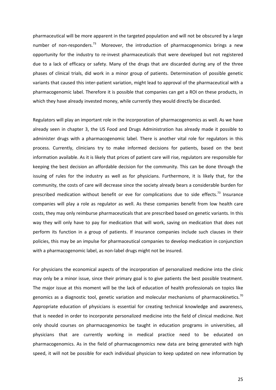pharmaceutical will be more apparent in the targeted population and will not be obscured by a large number of non-responders.<sup>73</sup> Moreover, the introduction of pharmacogenomics brings a new opportunity for the industry to re-invest pharmaceuticals that were developed but not registered due to a lack of efficacy or safety. Many of the drugs that are discarded during any of the three phases of clinical trials, did work in a minor group of patients. Determination of possible genetic variants that caused this inter-patient variation, might lead to approval of the pharmaceutical with a pharmacogenomic label. Therefore it is possible that companies can get a ROI on these products, in which they have already invested money, while currently they would directly be discarded.

Regulators will play an important role in the incorporation of pharmacogenomics as well. As we have already seen in chapter 3, the US Food and Drugs Administration has already made it possible to administer drugs with a pharmacogenomic label. There is another vital role for regulators in this process. Currently, clinicians try to make informed decisions for patients, based on the best information available. As it is likely that prices of patient care will rise, regulators are responsible for keeping the best decision an affordable decision for the community. This can be done through the issuing of rules for the industry as well as for physicians. Furthermore, it is likely that, for the community, the costs of care will decrease since the society already bears a considerable burden for prescribed medication without benefit or eve for complications due to side effects.<sup>73</sup> Insurance companies will play a role as regulator as well. As these companies benefit from low health care costs, they may only reimburse pharmaceuticals that are prescribed based on genetic variants. In this way they will only have to pay for medication that will work, saving on medication that does not perform its function in a group of patients. If insurance companies include such clauses in their policies, this may be an impulse for pharmaceutical companies to develop medication in conjunction with a pharmacogenomic label, as non-label drugs might not be insured.

For physicians the economical aspects of the incorporation of personalized medicine into the clinic may only be a minor issue, since their primary goal is to give patients the best possible treatment. The major issue at this moment will be the lack of education of health professionals on topics like genomics as a diagnostic tool, genetic variation and molecular mechanisms of pharmacokinetics.<sup>70</sup> Appropriate education of physicians is essential for creating technical knowledge and awareness, that is needed in order to incorporate personalized medicine into the field of clinical medicine. Not only should courses on pharmacogenomics be taught in education programs in universities, all physicians that are currently working in medical practice need to be educated on pharmacogenomics. As in the field of pharmacogenomics new data are being generated with high speed, it will not be possible for each individual physician to keep updated on new information by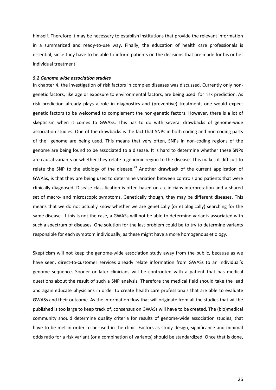himself. Therefore it may be necessary to establish institutions that provide the relevant information in a summarized and ready-to-use way. Finally, the education of health care professionals is essential, since they have to be able to inform patients on the decisions that are made for his or her individual treatment.

## <span id="page-28-0"></span>*5.2 Genome wide association studies*

In chapter 4, the investigation of risk factors in complex diseases was discussed. Currently only nongenetic factors, like age or exposure to environmental factors, are being used for risk prediction. As risk prediction already plays a role in diagnostics and (preventive) treatment, one would expect genetic factors to be welcomed to complement the non-genetic factors. However, there is a lot of skepticism when it comes to GWASs. This has to do with several drawbacks of genome-wide association studies. One of the drawbacks is the fact that SNPs in both coding and non coding parts of the genome are being used. This means that very often, SNPs in non-coding regions of the genome are being found to be associated to a disease. It is hard to determine whether these SNPs are causal variants or whether they relate a genomic region to the disease. This makes it difficult to relate the SNP to the etiology of the disease.<sup>73</sup> Another drawback of the current application of GWASs, is that they are being used to determine variation between controls and patients that were clinically diagnosed. Disease classification is often based on a clinicians interpretation and a shared set of macro- and microscopic symptoms. Genetically though, they may be different diseases. This means that we do not actually know whether we are genetically (or etiologically) searching for the same disease. If this is not the case, a GWASs will not be able to determine variants associated with such a spectrum of diseases. One solution for the last problem could be to try to determine variants responsible for each symptom individually, as these might have a more homogenous etiology.

Skepticism will not keep the genome-wide association study away from the public, because as we have seen, direct-to-customer services already relate information from GWASs to an individual's genome sequence. Sooner or later clinicians will be confronted with a patient that has medical questions about the result of such a SNP analysis. Therefore the medical field should take the lead and again educate physicians in order to create health care professionals that are able to evaluate GWASs and their outcome. As the information flow that will originate from all the studies that will be published is too large to keep track of, consensus on GWASs will have to be created. The (bio)medical community should determine quality criteria for results of genome-wide association studies, that have to be met in order to be used in the clinic. Factors as study design, significance and minimal odds ratio for a risk variant (or a combination of variants) should be standardized. Once that is done,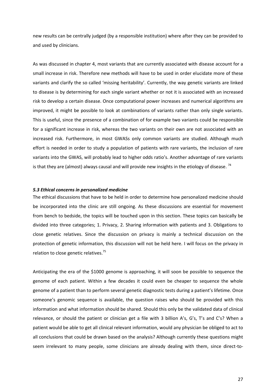new results can be centrally judged (by a responsible institution) where after they can be provided to and used by clinicians.

As was discussed in chapter 4, most variants that are currently associated with disease account for a small increase in risk. Therefore new methods will have to be used in order elucidate more of these variants and clarify the so called 'missing heritability'. Currently, the way genetic variants are linked to disease is by determining for each single variant whether or not it is associated with an increased risk to develop a certain disease. Once computational power increases and numerical algorithms are improved, it might be possible to look at combinations of variants rather than only single variants. This is useful, since the presence of a combination of for example two variants could be responsible for a significant increase in risk, whereas the two variants on their own are not associated with an increased risk. Furthermore, in most GWASs only common variants are studied. Although much effort is needed in order to study a population of patients with rare variants, the inclusion of rare variants into the GWAS, will probably lead to higher odds ratio's. Another advantage of rare variants is that they are (almost) always causal and will provide new insights in the etiology of disease.  $^{74}$ 

# <span id="page-29-0"></span>*5.3 Ethical concerns in personalized medicine*

The ethical discussions that have to be held in order to determine how personalized medicine should be incorporated into the clinic are still ongoing. As these discussions are essential for movement from bench to bedside, the topics will be touched upon in this section. These topics can basically be divided into three categories; 1. Privacy, 2. Sharing information with patients and 3. Obligations to close genetic relatives. Since the discussion on privacy is mainly a technical discussion on the protection of genetic information, this discussion will not be held here. I will focus on the privacy in relation to close genetic relatives.<sup>75</sup>

Anticipating the era of the \$1000 genome is approaching, it will soon be possible to sequence the genome of each patient. Within a few decades it could even be cheaper to sequence the whole genome of a patient than to perform several genetic diagnostic tests during a patient's lifetime. Once someone's genomic sequence is available, the question raises who should be provided with this information and what information should be shared. Should this only be the validated data of clinical relevance, or should the patient or clinician get a file with 3 billion A's, G's, T's and C's? When a patient would be able to get all clinical relevant information, would any physician be obliged to act to all conclusions that could be drawn based on the analysis? Although currently these questions might seem irrelevant to many people, some clinicians are already dealing with them, since direct-to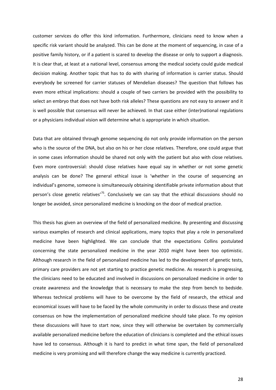customer services do offer this kind information. Furthermore, clinicians need to know when a specific risk variant should be analyzed. This can be done at the moment of sequencing, in case of a positive family history, or if a patient is scared to develop the disease or only to support a diagnosis. It is clear that, at least at a national level, consensus among the medical society could guide medical decision making. Another topic that has to do with sharing of information is carrier status. Should everybody be screened for carrier statuses of Mendelian diseases? The question that follows has even more ethical implications: should a couple of two carriers be provided with the possibility to select an embryo that does not have both risk alleles? These questions are not easy to answer and it is well possible that consensus will never be achieved. In that case either (inter)national regulations or a physicians individual vision will determine what is appropriate in which situation.

Data that are obtained through genome sequencing do not only provide information on the person who is the source of the DNA, but also on his or her close relatives. Therefore, one could argue that in some cases information should be shared not only with the patient but also with close relatives. Even more controversial: should close relatives have equal say in whether or not some genetic analysis can be done? The general ethical issue is 'whether in the course of sequencing an individual's genome, someone is simultaneously obtaining identifiable private information about that person's close genetic relatives<sup> $75$ </sup>. Conclusively we can say that the ethical discussions should no longer be avoided, since personalized medicine is knocking on the door of medical practice.

This thesis has given an overview of the field of personalized medicine. By presenting and discussing various examples of research and clinical applications, many topics that play a role in personalized medicine have been highlighted. We can conclude that the expectations Collins postulated concerning the state personalized medicine in the year 2010 might have been too optimistic. Although research in the field of personalized medicine has led to the development of genetic tests, primary care providers are not yet starting to practice genetic medicine. As research is progressing, the clinicians need to be educated and involved in discussions on personalized medicine in order to create awareness and the knowledge that is necessary to make the step from bench to bedside. Whereas technical problems will have to be overcome by the field of research, the ethical and economical issues will have to be faced by the whole community in order to discuss these and create consensus on how the implementation of personalized medicine should take place. To my opinion these discussions will have to start now, since they will otherwise be overtaken by commercially available personalized medicine before the education of clinicians is completed and the ethical issues have led to consensus. Although it is hard to predict in what time span, the field of personalized medicine is very promising and will therefore change the way medicine is currently practiced.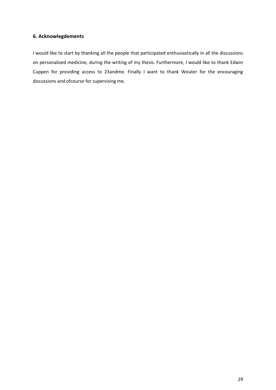# <span id="page-31-0"></span>**6. Acknowlegdements**

I would like to start by thanking all the people that participated enthusiastically in all the discussions on personalized medicine, during the writing of my thesis. Furthermore, I would like to thank Edwin Cuppen for providing access to 23andme. Finally I want to thank Wouter for the encouraging discussions and ofcourse for supervising me.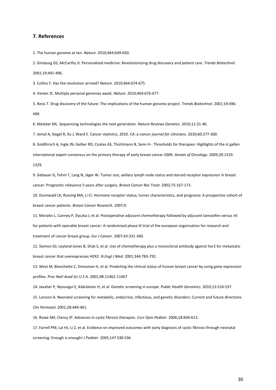## <span id="page-32-0"></span>**7. References**

1. The human genome at ten. *Nature*. 2010;464:649-650.

2. Ginsburg GS, McCarthy JJ. Personalized medicine: Revolutionizing drug discovery and patient care. *Trends Biotechnol*. 2001;19:491-496.

3. Collins F. Has the revolution arrived? *Nature*. 2010;464:674-675.

4. Venter JC. Multiple personal genomes await. *Nature*. 2010;464:676-677.

5. Reiss T. Drug discovery of the future: The implications of the human genome project. *Trends Biotechnol*. 2001;19:496- 499.

6. Metzker ML. Sequencing technologies the next generation. *Nature Reviews Genetics*. 2010;11:31-46.

7. Jemal A, Siegel R, Xu J, Ward E. Cancer statistics, 2010. *CA: a cancer journal for clinicians*. 2010;60:277-300.

8. Goldhirsch A, Ingle JN, Gelber RD, Coates AS, Thürlimann B, Senn H-. Thresholds for therapies: Highlights of the st gallen international expert consensus on the primary therapy of early breast cancer 2009. *Annals of Oncology*. 2009;20:1319- 1329.

9. Gebauer G, Fehm T, Lang N, Jäger W. Tumor size, axillary lymph node status and steroid receptor expression in breast cancer: Prognostic relevance 5 years after surgery. *Breast Cancer Res Treat*. 2002;75:167-173.

10. Dunnwald LK, Rossing MA, Li CI. Hormone receptor status, tumor characteristics, and prognosis: A prospective cohort of breast cancer patients. *Breast Cancer Research*. 2007;9.

11. Morales L, Canney P, Dyczka J, et al. Postoperative adjuvant chemotherapy followed by adjuvant tamoxifen versus nil for patients with operable breast cancer: A randomised phase III trial of the european organisation for research and treatment of cancer breast group. *Eur J Cancer*. 2007;43:331-340.

12. Slamon DJ, Leyland-Jones B, Shak S, et al. Use of chemotherapy plus a monoclonal antibody against her2 for metastatic breast cancer that overexpresses HER2. *N Engl J Med*. 2001;344:783-792.

13. West M, Blanchette C, Dressman H, et al. Predicting the clinical status of human breast cancer by using gene expression profiles. *Proc Natl Acad Sci U S A*. 2001;98:11462-11467.

14. Javaher P, Nyoungui E, Kääriäinen H, et al. Genetic screening in europe. *Public Health Genomics*. 2010;13:524-537.

15. Larsson A. Neonatal screening for metabolic, endocrine, infectious, and genetic disorders: Current and future directions. *Clin Perinatol*. 2001;28:449-461.

16. Rowe SM, Clancy JP. Advances in cystic fibrosis therapies. *Curr Opin Pediatr*. 2006;18:604-613.

17. Farrell PM, Lai HJ, Li Z, et al. Evidence on improved outcomes with early diagnosis of cystic fibrosis through neonatal screening: Enough is enough! *J Pediatr*. 2005;147:S30-S36.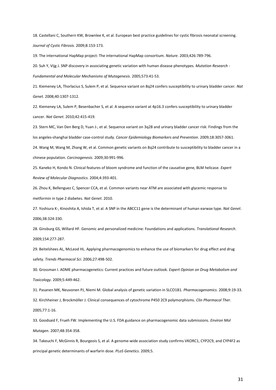18. Castellani C, Southern KW, Brownlee K, et al. European best practice guidelines for cystic fibrosis neonatal screening. *Journal of Cystic Fibrosis*. 2009;8:153-173.

19. The international HapMap project: The international HapMap consortium. *Nature*. 2003;426:789-796.

20. Suh Y, Vijg J. SNP discovery in associating genetic variation with human disease phenotypes. *Mutation Research -*

*Fundamental and Molecular Mechanisms of Mutagenesis*. 2005;573:41-53.

21. Kiemeney LA, Thorlacius S, Sulem P, et al. Sequence variant on 8q24 confers susceptibility to urinary bladder cancer. *Nat Genet*. 2008;40:1307-1312.

22. Kiemeney LA, Sulem P, Besenbacher S, et al. A sequence variant at 4p16.3 confers susceptibility to urinary bladder cancer. *Nat Genet*. 2010;42:415-419.

23. Stern MC, Van Den Berg D, Yuan J-, et al. Sequence variant on 3q28 and urinary bladder cancer risk: Findings from the los angeles-shanghai bladder case-control study. *Cancer Epidemiology Biomarkers and Prevention*. 2009;18:3057-3061. 24. Wang M, Wang M, Zhang W, et al. Common genetic variants on 8q24 contribute to susceptibility to bladder cancer in a chinese population. *Carcinogenesis*. 2009;30:991-996.

25. Kaneko H, Kondo N. Clinical features of bloom syndrome and function of the causative gene, BLM helicase. *Expert Review of Molecular Diagnostics*. 2004;4:393-401.

26. Zhou K, Bellenguez C, Spencer CCA, et al. Common variants near ATM are associated with glycemic response to metformin in type 2 diabetes. *Nat Genet*. 2010.

27. Yoshiura K-, Kinoshita A, Ishida T, et al. A SNP in the ABCC11 gene is the determinant of human earwax type. *Nat Genet*. 2006;38:324-330.

28. Ginsburg GS, Willard HF. Genomic and personalized medicine: Foundations and applications. *Translational Research*. 2009;154:277-287.

29. Beitelshees AL, McLeod HL. Applying pharmacogenomics to enhance the use of biomarkers for drug effect and drug safety. *Trends Pharmacol Sci*. 2006;27:498-502.

30. Grossman I. ADME pharmacogenetics: Current practices and future outlook. *Expert Opinion on Drug Metabolism and Toxicology*. 2009;5:449-462.

31. Pasanen MK, Neuvonen PJ, Niemi M. Global analysis of genetic variation in SLCO1B1. *Pharmacogenomics*. 2008;9:19-33.

32. Kirchheiner J, Brockmöller J. Clinical consequences of cytochrome P450 2C9 polymorphisms. *Clin Pharmacol Ther*.

2005;77:1-16.

33. Goodsaid F, Frueh FW. Implementing the U.S. FDA guidance on pharmacogenomic data submissions. *Environ Mol Mutagen*. 2007;48:354-358.

34. Takeuchi F, McGinnis R, Bourgeois S, et al. A genome-wide association study confirms VKORC1, CYP2C9, and CYP4F2 as principal genetic determinants of warfarin dose. *PLoS Genetics*. 2009;5.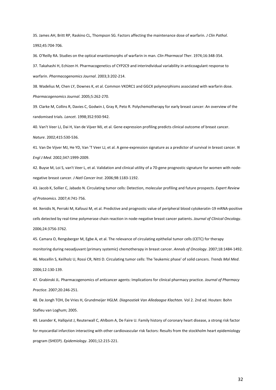35. James AH, Britt RP, Raskino CL, Thompson SG. Factors affecting the maintenance dose of warfarin. *J Clin Pathol*. 1992;45:704-706.

36. O'Reilly RA. Studies on the optical enantiomorphs of warfarin in man. *Clin Pharmacol Ther*. 1974;16:348-354.

37. Takahashi H, Echizen H. Pharmacogenetics of CYP2C9 and interindividual variability in anticoagulant response to warfarin. *Pharmacogenomics Journal*. 2003;3:202-214.

38. Wadelius M, Chen LY, Downes K, et al. Common VKORC1 and GGCX polymorphisms associated with warfarin dose. *Pharmacogenomics Journal*. 2005;5:262-270.

39. Clarke M, Collins R, Davies C, Godwin J, Gray R, Peto R. Polychemotherapy for early breast cancer: An overview of the randomised trials. *Lancet*. 1998;352:930-942.

40. Van't Veer LJ, Dai H, Van de Vijver MJ, et al. Gene expression profiling predicts clinical outcome of breast cancer. *Nature*. 2002;415:530-536.

41. Van De Vijver MJ, He YD, Van 'T Veer LJ, et al. A gene-expression signature as a predictor of survival in breast cancer. *N Engl J Med*. 2002;347:1999-2009.

42. Buyse M, Loi S, van't Veer L, et al. Validation and clinical utility of a 70-gene prognostic signature for women with nodenegative breast cancer. *J Natl Cancer Inst*. 2006;98:1183-1192.

43. Jacob K, Sollier C, Jabado N. Circulating tumor cells: Detection, molecular profiling and future prospects. *Expert Review of Proteomics*. 2007;4:741-756.

44. Xenidis N, Perraki M, Kafousi M, et al. Predictive and prognostic value of peripheral blood cytokeratin-19 mRNA-positive cells detected by real-time polymerase chain reaction in node-negative breast cancer patients. *Journal of Clinical Oncology*. 2006;24:3756-3762.

45. Camara O, Rengsberger M, Egbe A, et al. The relevance of circulating epithelial tumor cells (CETC) for therapy monitoring during neoadjuvant (primary systemic) chemotherapy in breast cancer. *Annals of Oncology*. 2007;18:1484-1492. 46. Mocellin S, Keilholz U, Rossi CR, Nitti D. Circulating tumor cells: The 'leukemic phase' of solid cancers. *Trends Mol Med*. 2006;12:130-139.

47. Grabinski JL. Pharmacogenomics of anticancer agents: Implications for clinical pharmacy practice. *Journal of Pharmacy Practice*. 2007;20:246-251.

48. De Jongh TOH, De Vries H, Grundmeijer HGLM. *Diagnostiek Van Alledaagse Klachten.* Vol 2. 2nd ed. Houten: Bohn Stafleu van Loghum; 2005.

49. Leander K, Hallqvist J, Reuterwall C, Ahlbom A, De Faire U. Family history of coronary heart disease, a strong risk factor for myocardial infarction interacting with other cardiovascular risk factors: Results from the stockholm heart epidemiology program (SHEEP). *Epidemiology*. 2001;12:215-221.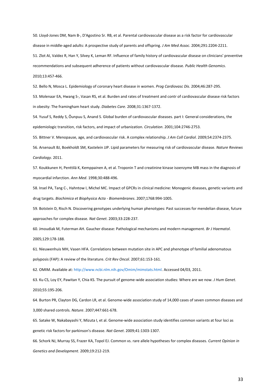50. Lloyd-Jones DM, Nam B-, D'Agostino Sr. RB, et al. Parental cardiovascular disease as a risk factor for cardiovascular disease in middle-aged adults: A prospective study of parents and offspring. *J Am Med Assoc*. 2004;291:2204-2211.

51. Zlot AI, Valdez R, Han Y, Silvey K, Leman RF. Influence of family history of cardiovascular disease on clinicians' preventive recommendations and subsequent adherence of patients without cardiovascular disease. *Public Health Genomics*. 2010;13:457-466.

52. Bello N, Mosca L. Epidemiology of coronary heart disease in women. *Prog Cardiovasc Dis*. 2004;46:287-295.

53. Molenaar EA, Hwang S-, Vasan RS, et al. Burden and rates of treatment and contr of cardiovascular disease risk factors in obesity: The framingham heart study. *Diabetes Care*. 2008;31:1367-1372.

54. Yusuf S, Reddy S, Ôunpuu S, Anand S. Global burden of cardiovascular diseases. part I: General considerations, the epidemiologic transition, risk factors, and impact of urbanization. *Circulation*. 2001;104:2746-2753.

55. Bittner V. Menopause, age, and cardiovascular risk. A complex relationship. *J Am Coll Cardiol*. 2009;54:2374-2375.

56. Arsenault BJ, Boekholdt SM, Kastelein JJP. Lipid parameters for measuring risk of cardiovascular disease. *Nature Reviews Cardiology*. 2011.

57. Koukkunen H, Penttilä K, Kemppainen A, et al. Troponin T and creatinine kinase isoenzyme MB mass in the diagnosis of myocardial infarction. *Ann Med*. 1998;30:488-496.

58. Insel PA, Tang C-, Hahntow I, Michel MC. Impact of GPCRs in clinical medicine: Monogenic diseases, genetic variants and drug targets. *Biochimica et Biophysica Acta - Biomembranes*. 2007;1768:994-1005.

59. Botstein D, Risch N. Discovering genotypes underlying human phenotypes: Past successes for mendelian disease, future approaches for complex disease. *Nat Genet*. 2003;33:228-237.

60. Jmoudiak M, Futerman AH. Gaucher disease: Pathological mechanisms and modern management. *Br J Haematol*. 2005;129:178-188.

61. Nieuwenhuis MH, Vasen HFA. Correlations between mutation site in APC and phenotype of familial adenomatous polyposis (FAP): A review of the literature. *Crit Rev Oncol*. 2007;61:153-161.

62. OMIM. Available at[: http://www.ncbi.nlm.nih.gov/Omim/mimstats.html.](http://www.ncbi.nlm.nih.gov/Omim/mimstats.html) Accessed 04/03, 2011.

63. Ku CS, Loy EY, Pawitan Y, Chia KS. The pursuit of genome-wide association studies: Where are we now. *J Hum Genet*. 2010;55:195-206.

64. Burton PR, Clayton DG, Cardon LR, et al. Genome-wide association study of 14,000 cases of seven common diseases and 3,000 shared controls. *Nature*. 2007;447:661-678.

65. Satake W, Nakabayashi Y, Mizuta I, et al. Genome-wide association study identifies common variants at four loci as genetic risk factors for parkinson's disease. *Nat Genet*. 2009;41:1303-1307.

66. Schork NJ, Murray SS, Frazer KA, Topol EJ. Common vs. rare allele hypotheses for complex diseases. *Current Opinion in Genetics and Development*. 2009;19:212-219.